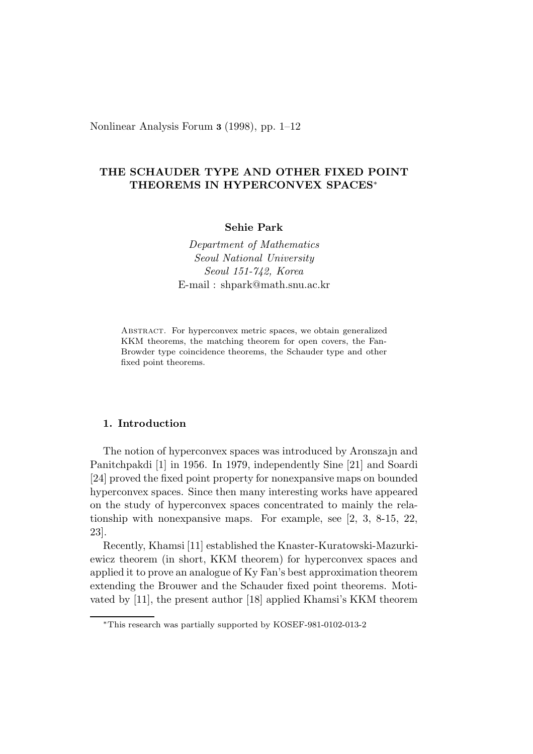Nonlinear Analysis Forum **3** (1998), pp. 1–12

# **THE SCHAUDER TYPE AND OTHER FIXED POINT THEOREMS IN HYPERCONVEX SPACES**<sup>∗</sup>

**Sehie Park**

*Department of Mathematics Seoul National University Seoul 151-742, Korea* E-mail : shpark@math.snu.ac.kr

Abstract. For hyperconvex metric spaces, we obtain generalized KKM theorems, the matching theorem for open covers, the Fan-Browder type coincidence theorems, the Schauder type and other fixed point theorems.

## **1. Introduction**

The notion of hyperconvex spaces was introduced by Aronszajn and Panitchpakdi [1] in 1956. In 1979, independently Sine [21] and Soardi [24] proved the fixed point property for nonexpansive maps on bounded hyperconvex spaces. Since then many interesting works have appeared on the study of hyperconvex spaces concentrated to mainly the relationship with nonexpansive maps. For example, see [2, 3, 8-15, 22, 23].

Recently, Khamsi [11] established the Knaster-Kuratowski-Mazurkiewicz theorem (in short, KKM theorem) for hyperconvex spaces and applied it to prove an analogue of Ky Fan's best approximation theorem extending the Brouwer and the Schauder fixed point theorems. Motivated by [11], the present author [18] applied Khamsi's KKM theorem

<sup>∗</sup>This research was partially supported by KOSEF-981-0102-013-2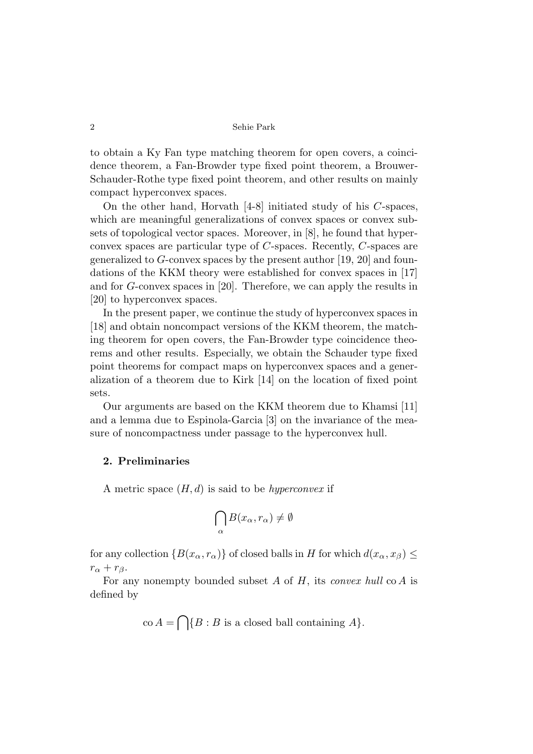to obtain a Ky Fan type matching theorem for open covers, a coincidence theorem, a Fan-Browder type fixed point theorem, a Brouwer-Schauder-Rothe type fixed point theorem, and other results on mainly compact hyperconvex spaces.

On the other hand, Horvath [4-8] initiated study of his *C*-spaces, which are meaningful generalizations of convex spaces or convex subsets of topological vector spaces. Moreover, in [8], he found that hyperconvex spaces are particular type of *C*-spaces. Recently, *C*-spaces are generalized to *G*-convex spaces by the present author [19, 20] and foundations of the KKM theory were established for convex spaces in [17] and for *G*-convex spaces in [20]. Therefore, we can apply the results in [20] to hyperconvex spaces.

In the present paper, we continue the study of hyperconvex spaces in [18] and obtain noncompact versions of the KKM theorem, the matching theorem for open covers, the Fan-Browder type coincidence theorems and other results. Especially, we obtain the Schauder type fixed point theorems for compact maps on hyperconvex spaces and a generalization of a theorem due to Kirk [14] on the location of fixed point sets.

Our arguments are based on the KKM theorem due to Khamsi [11] and a lemma due to Espinola-Garcia [3] on the invariance of the measure of noncompactness under passage to the hyperconvex hull.

## **2. Preliminaries**

A metric space (*H, d*) is said to be *hyperconvex* if

$$
\bigcap_{\alpha} B(x_{\alpha}, r_{\alpha}) \neq \emptyset
$$

for any collection  ${B(x_\alpha, r_\alpha)}$  of closed balls in *H* for which  $d(x_\alpha, x_\beta)$  $r_{\alpha} + r_{\beta}$ .

For any nonempty bounded subset *A* of *H*, its *convex hull* co *A* is defined by

$$
\text{co } A = \bigcap \{B : B \text{ is a closed ball containing } A\}.
$$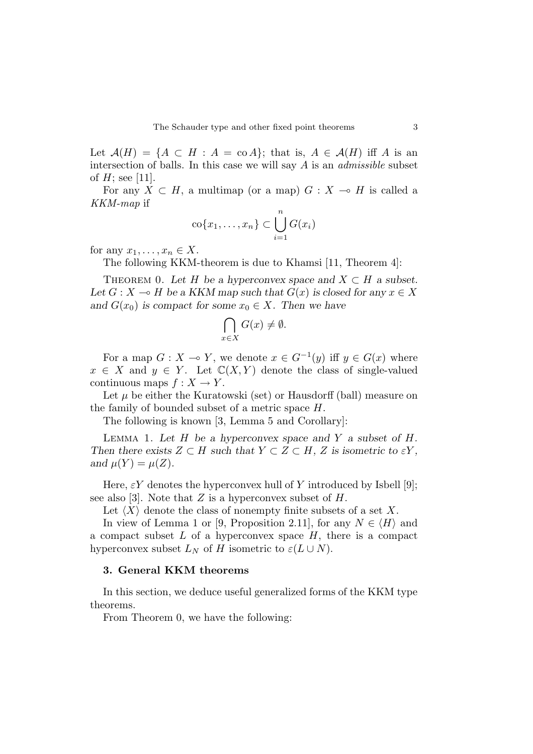Let  $\mathcal{A}(H) = \{A \subset H : A = \text{co } A\}$ ; that is,  $A \in \mathcal{A}(H)$  iff A is an intersection of balls. In this case we will say *A* is an *admissible* subset of  $H$ ; see [11].

For any  $X \subset H$ , a multimap (or a map)  $G : X \to H$  is called a *KKM-map* if

$$
\mathrm{co}\{x_1,\ldots,x_n\}\subset \bigcup_{i=1}^n G(x_i)
$$

for any  $x_1, \ldots, x_n \in X$ .

The following KKM-theorem is due to Khamsi [11, Theorem 4]:

THEOREM 0. Let *H* be a hyperconvex space and  $X \subset H$  a subset. Let  $G: X \to H$  be a KKM map such that  $G(x)$  is closed for any  $x \in X$ and  $G(x_0)$  is compact for some  $x_0 \in X$ . Then we have

$$
\bigcap_{x \in X} G(x) \neq \emptyset.
$$

For a map  $G: X \to Y$ , we denote  $x \in G^{-1}(y)$  iff  $y \in G(x)$  where  $x \in X$  and  $y \in Y$ . Let  $\mathbb{C}(X, Y)$  denote the class of single-valued continuous maps  $f: X \to Y$ .

Let  $\mu$  be either the Kuratowski (set) or Hausdorff (ball) measure on the family of bounded subset of a metric space *H*.

The following is known [3, Lemma 5 and Corollary]:

Lemma 1. Let *H* be a hyperconvex space and *Y* a subset of *H*. Then there exists  $Z \subset H$  such that  $Y \subset Z \subset H$ ,  $Z$  is isometric to  $\epsilon Y$ , and  $\mu(Y) = \mu(Z)$ .

Here,  $\epsilon Y$  denotes the hyperconvex hull of *Y* introduced by Isbell [9]; see also [3]. Note that *Z* is a hyperconvex subset of *H*.

Let  $\langle X \rangle$  denote the class of nonempty finite subsets of a set X.

In view of Lemma 1 or [9, Proposition 2.11], for any  $N \in \langle H \rangle$  and a compact subset *L* of a hyperconvex space *H*, there is a compact hyperconvex subset  $L_N$  of *H* isometric to  $\varepsilon(L \cup N)$ .

#### **3. General KKM theorems**

In this section, we deduce useful generalized forms of the KKM type theorems.

From Theorem 0, we have the following: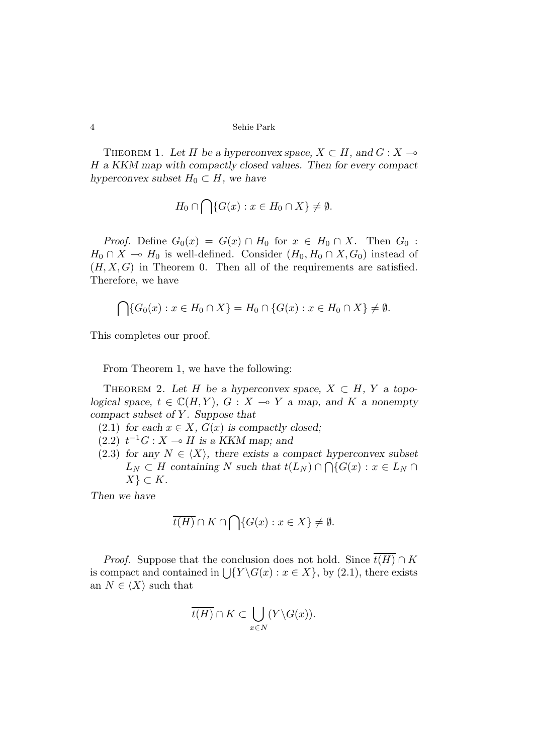THEOREM 1. Let *H* be a hyperconvex space,  $X \subset H$ , and  $G : X \to$ *H* a KKM map with compactly closed values. Then for every compact hyperconvex subset  $H_0 \subset H$ , we have

$$
H_0 \cap \bigcap \{ G(x) : x \in H_0 \cap X \} \neq \emptyset.
$$

*Proof.* Define  $G_0(x) = G(x) \cap H_0$  for  $x \in H_0 \cap X$ . Then  $G_0$ : *H*<sub>0</sub> ∩ *X* → *H*<sub>0</sub> is well-defined. Consider  $(H_0, H_0 \cap X, G_0)$  instead of  $(H, X, G)$  in Theorem 0. Then all of the requirements are satisfied. Therefore, we have

$$
\bigcap \{G_0(x) : x \in H_0 \cap X\} = H_0 \cap \{G(x) : x \in H_0 \cap X\} \neq \emptyset.
$$

This completes our proof.

From Theorem 1, we have the following:

THEOREM 2. Let *H* be a hyperconvex space,  $X \subset H$ ,  $Y$  a topological space,  $t \in \mathbb{C}(H, Y)$ ,  $G : X \to Y$  a map, and  $K$  a nonempty compact subset of *Y* . Suppose that

- (2.1) for each  $x \in X$ ,  $G(x)$  is compactly closed;
- $(2.2)$   $t^{-1}G : X \rightarrow H$  is a KKM map; and
- (2.3) for any  $N \in \langle X \rangle$ , there exists a compact hyperconvex subset  $L_N \subset H$  containing *N* such that  $t(L_N) \cap \bigcap \{G(x) : x \in L_N \cap I\}$ *X} ⊂ K*.

Then we have

$$
\overline{t(H)} \cap K \cap \bigcap \{G(x) : x \in X\} \neq \emptyset.
$$

*Proof.* Suppose that the conclusion does not hold. Since  $\overline{t(H)} \cap K$ is compact and contained in  $\left\{\frac{X}{Y \setminus G(x) : x \in X}\right\}$ , by (2.1), there exists an  $N \in \langle X \rangle$  such that

$$
\overline{t(H)}\cap K\subset \bigcup_{x\in N}(Y\backslash G(x)).
$$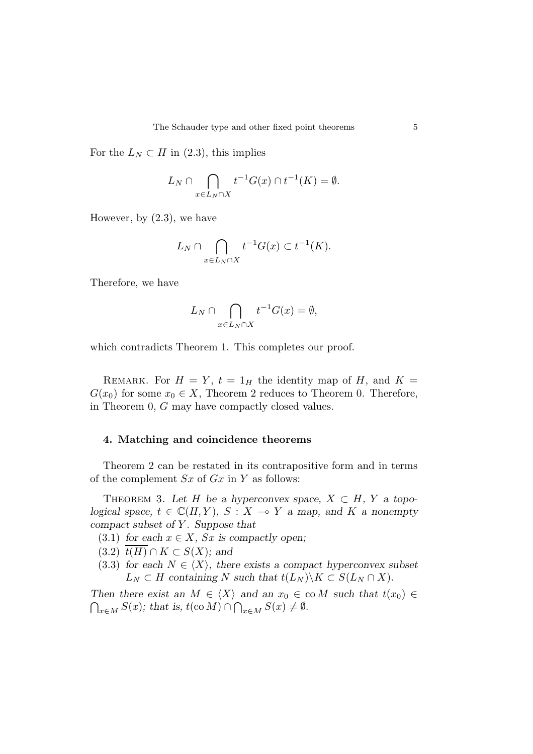For the  $L_N \subset H$  in (2.3), this implies

$$
L_N \cap \bigcap_{x \in L_N \cap X} t^{-1}G(x) \cap t^{-1}(K) = \emptyset.
$$

However, by (2.3), we have

$$
L_N \cap \bigcap_{x \in L_N \cap X} t^{-1}G(x) \subset t^{-1}(K).
$$

Therefore, we have

$$
L_N \cap \bigcap_{x \in L_N \cap X} t^{-1}G(x) = \emptyset,
$$

which contradicts Theorem 1. This completes our proof.

REMARK. For  $H = Y$ ,  $t = 1_H$  the identity map of *H*, and  $K =$  $G(x_0)$  for some  $x_0 \in X$ , Theorem 2 reduces to Theorem 0. Therefore, in Theorem 0, *G* may have compactly closed values.

### **4. Matching and coincidence theorems**

Theorem 2 can be restated in its contrapositive form and in terms of the complement *Sx* of *Gx* in *Y* as follows:

THEOREM 3. Let *H* be a hyperconvex space,  $X \subset H$ ,  $Y$  a topological space,  $t \in \mathbb{C}(H, Y)$ ,  $S: X \to Y$  a map, and K a nonempty compact subset of *Y* . Suppose that

(3.1) for each  $x \in X$ ,  $Sx$  is compactly open;

 $(3.2)$   $t(H) \cap K \subset S(X)$ ; and

(3.3) for each  $N \in \langle X \rangle$ , there exists a compact hyperconvex subset  $L_N \subset H$  containing *N* such that  $t(L_N) \backslash K \subset S(L_N \cap X)$ .

Then there exist an  $M \in \langle X \rangle$  and an  $x_0 \in \text{co } M$  such that  $t(x_0) \in$  $\bigcap_{x \in M} S(x)$ ; that is,  $t(\text{co } M) \cap \bigcap_{x \in M} S(x) \neq \emptyset$ .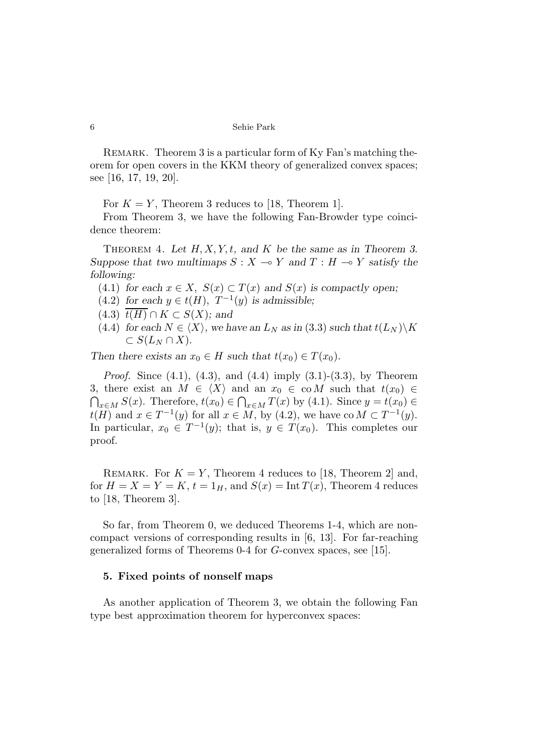REMARK. Theorem 3 is a particular form of Ky Fan's matching theorem for open covers in the KKM theory of generalized convex spaces; see [16, 17, 19, 20].

For  $K = Y$ , Theorem 3 reduces to [18, Theorem 1].

From Theorem 3, we have the following Fan-Browder type coincidence theorem:

THEOREM 4. Let  $H, X, Y, t$ , and  $K$  be the same as in Theorem 3. Suppose that two multimaps  $S: X \to Y$  and  $T: H \to Y$  satisfy the following:

- (4.1) for each  $x \in X$ ,  $S(x) \subset T(x)$  and  $S(x)$  is compactly open;
- (4.2) for each  $y \in t(H)$ ,  $T^{-1}(y)$  is admissible;
- $(4.3)$   $\overline{t(H)} \cap K \subset S(X)$ ; and
- $(4.4)$  for each  $N \in \langle X \rangle$ , we have an  $L_N$  as in  $(3.3)$  such that  $t(L_N) \backslash K$  $\subset S(L_N \cap X)$ .

Then there exists an  $x_0 \in H$  such that  $t(x_0) \in T(x_0)$ .

*Proof.* Since (4.1), (4.3), and (4.4) imply (3.1)-(3.3), by Theorem 3, there exist an  $M \in \langle X \rangle$  and an  $x_0 \in \text{co } M$  such that  $t(x_0) \in$  $\bigcap_{x \in M} S(x)$ . Therefore,  $t(x_0) \in \bigcap_{x \in M} T(x)$  by (4.1). Since  $y = t(x_0) \in$ *t*(*H*) and  $x \in T^{-1}(y)$  for all  $x \in M$ , by (4.2), we have co $M \subset T^{-1}(y)$ . In particular,  $x_0 \in T^{-1}(y)$ ; that is,  $y \in T(x_0)$ . This completes our proof.

REMARK. For  $K = Y$ , Theorem 4 reduces to [18, Theorem 2] and, for  $H = X = Y = K$ ,  $t = 1_H$ , and  $S(x) = \text{Int } T(x)$ , Theorem 4 reduces to [18, Theorem 3].

So far, from Theorem 0, we deduced Theorems 1-4, which are noncompact versions of corresponding results in [6, 13]. For far-reaching generalized forms of Theorems 0-4 for *G*-convex spaces, see [15].

### **5. Fixed points of nonself maps**

As another application of Theorem 3, we obtain the following Fan type best approximation theorem for hyperconvex spaces: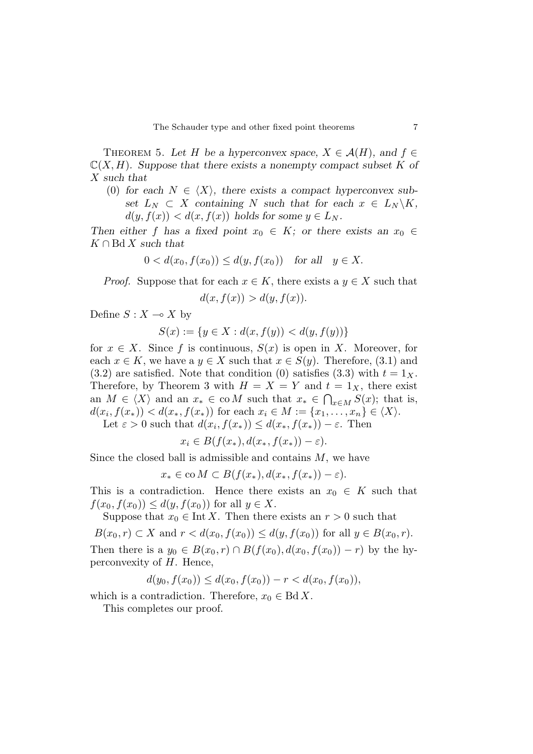THEOREM 5. Let *H* be a hyperconvex space,  $X \in \mathcal{A}(H)$ , and  $f \in$  $\mathbb{C}(X, H)$ . Suppose that there exists a nonempty compact subset K of *X* such that

(0) for each  $N \in \langle X \rangle$ , there exists a compact hyperconvex subset  $L_N \subset X$  containing N such that for each  $x \in L_N \backslash K$ ,  $d(y, f(x)) < d(x, f(x))$  holds for some  $y \in L_N$ .

Then either *f* has a fixed point  $x_0 \in K$ ; or there exists an  $x_0 \in$ *K ∩* Bd *X* such that

$$
0 < d(x_0, f(x_0)) \le d(y, f(x_0)) \quad \text{for all} \quad y \in X.
$$

*Proof.* Suppose that for each  $x \in K$ , there exists a  $y \in X$  such that

$$
d(x, f(x)) > d(y, f(x)).
$$

Define  $S: X \to X$  by

$$
S(x) := \{ y \in X : d(x, f(y)) < d(y, f(y)) \}
$$

for  $x \in X$ . Since f is continuous,  $S(x)$  is open in X. Moreover, for each  $x \in K$ , we have a  $y \in X$  such that  $x \in S(y)$ . Therefore, (3.1) and  $(3.2)$  are satisfied. Note that condition (0) satisfies  $(3.3)$  with  $t = 1_X$ . Therefore, by Theorem 3 with  $H = X = Y$  and  $t = 1_X$ , there exist an  $M \in \langle X \rangle$  and an  $x_* \in \text{co } M$  such that  $x_* \in \bigcap_{x \in M} S(x)$ ; that is,  $d(x_i, f(x_)) < d(x_*, f(x_*))$  for each  $x_i \in M := \{x_1, \ldots, x_n\} \in \langle X \rangle$ .

Let  $\varepsilon > 0$  such that  $d(x_i, f(x_0)) \leq d(x_*, f(x_0)) - \varepsilon$ . Then

$$
x_i \in B(f(x_*), d(x_*, f(x_*)) - \varepsilon).
$$

Since the closed ball is admissible and contains *M*, we have

$$
x_* \in \text{co } M \subset B(f(x_*), d(x_*, f(x_*)) - \varepsilon).
$$

This is a contradiction. Hence there exists an  $x_0 \in K$  such that  $f(x_0, f(x_0)) \leq d(y, f(x_0))$  for all  $y \in X$ .

Suppose that  $x_0 \in \text{Int } X$ . Then there exists an  $r > 0$  such that

$$
B(x_0, r) \subset X \text{ and } r < d(x_0, f(x_0)) \le d(y, f(x_0)) \text{ for all } y \in B(x_0, r).
$$

Then there is a  $y_0 \in B(x_0, r) \cap B(f(x_0), d(x_0, f(x_0)) - r)$  by the hyperconvexity of *H*. Hence,

 $d(y_0, f(x_0)) \leq d(x_0, f(x_0)) - r < d(x_0, f(x_0))$ 

which is a contradiction. Therefore,  $x_0 \in \text{Bd } X$ .

This completes our proof.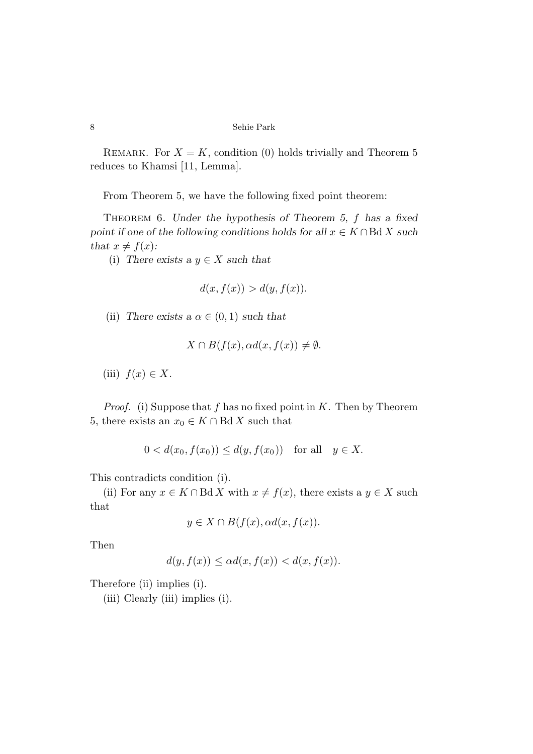REMARK. For  $X = K$ , condition (0) holds trivially and Theorem 5 reduces to Khamsi [11, Lemma].

From Theorem 5, we have the following fixed point theorem:

Theorem 6. Under the hypothesis of Theorem 5, *f* has a fixed point if one of the following conditions holds for all  $x \in K \cap B\Delta X$  such that  $x \neq f(x)$ :

(i) There exists a  $y \in X$  such that

$$
d(x, f(x)) > d(y, f(x)).
$$

(ii) There exists a  $\alpha \in (0,1)$  such that

$$
X \cap B(f(x), \alpha d(x, f(x)) \neq \emptyset.
$$

(iii)  $f(x) \in X$ .

*Proof.* (i) Suppose that *f* has no fixed point in *K*. Then by Theorem 5, there exists an  $x_0 \in K \cap \text{Bd } X$  such that

$$
0 < d(x_0, f(x_0)) \le d(y, f(x_0))
$$
 for all  $y \in X$ .

This contradicts condition (i).

(ii) For any  $x \in K \cap B \d X$  with  $x \neq f(x)$ , there exists a  $y \in X$  such that

$$
y \in X \cap B(f(x), \alpha d(x, f(x))).
$$

Then

$$
d(y, f(x)) \le \alpha d(x, f(x)) < d(x, f(x)).
$$

Therefore (ii) implies (i).

(iii) Clearly (iii) implies (i).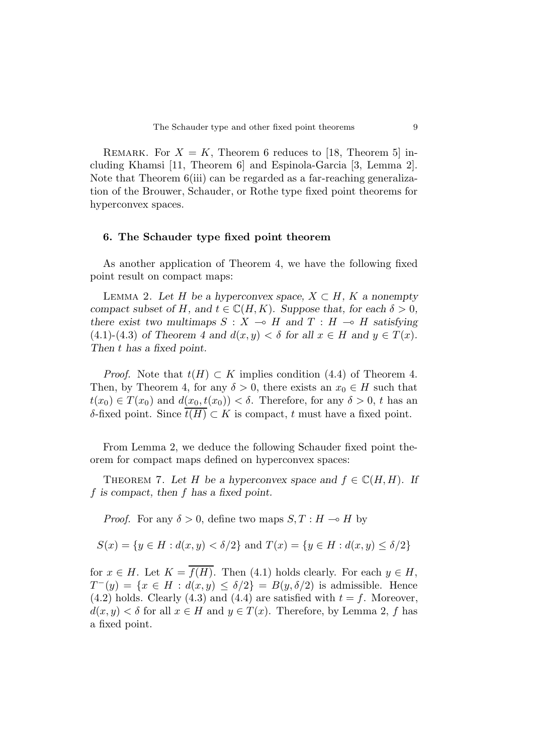REMARK. For  $X = K$ , Theorem 6 reduces to [18, Theorem 5] including Khamsi [11, Theorem 6] and Espinola-Garcia [3, Lemma 2]. Note that Theorem 6(iii) can be regarded as a far-reaching generalization of the Brouwer, Schauder, or Rothe type fixed point theorems for hyperconvex spaces.

## **6. The Schauder type fixed point theorem**

As another application of Theorem 4, we have the following fixed point result on compact maps:

LEMMA 2. Let *H* be a hyperconvex space,  $X \subset H$ ,  $K$  a nonempty compact subset of *H*, and  $t \in \mathbb{C}(H, K)$ . Suppose that, for each  $\delta > 0$ , there exist two multimaps  $S : X \to H$  and  $T : H \to H$  satisfying  $(4.1)-(4.3)$  of Theorem 4 and  $d(x, y) < \delta$  for all  $x \in H$  and  $y \in T(x)$ . Then *t* has a fixed point.

*Proof.* Note that  $t(H) \subset K$  implies condition (4.4) of Theorem 4. Then, by Theorem 4, for any  $\delta > 0$ , there exists an  $x_0 \in H$  such that  $t(x_0) \in T(x_0)$  and  $d(x_0,t(x_0)) < \delta$ . Therefore, for any  $\delta > 0$ , *t* has an *δ*-fixed point. Since  $t(H)$  ⊂ *K* is compact, *t* must have a fixed point.

From Lemma 2, we deduce the following Schauder fixed point theorem for compact maps defined on hyperconvex spaces:

THEOREM 7. Let *H* be a hyperconvex space and  $f \in \mathbb{C}(H, H)$ . If *f* is compact, then *f* has a fixed point.

*Proof.* For any  $\delta > 0$ , define two maps  $S, T : H \to H$  by

$$
S(x) = \{ y \in H : d(x, y) < \delta/2 \} \text{ and } T(x) = \{ y \in H : d(x, y) \le \delta/2 \}
$$

for  $x \in H$ . Let  $K = \overline{f(H)}$ . Then (4.1) holds clearly. For each  $y \in H$ ,  $T^-(y) = \{x \in H : d(x, y) \leq \delta/2\} = B(y, \delta/2)$  is admissible. Hence  $(4.2)$  holds. Clearly  $(4.3)$  and  $(4.4)$  are satisfied with  $t = f$ . Moreover,  $d(x, y) < \delta$  for all  $x \in H$  and  $y \in T(x)$ . Therefore, by Lemma 2, *f* has a fixed point.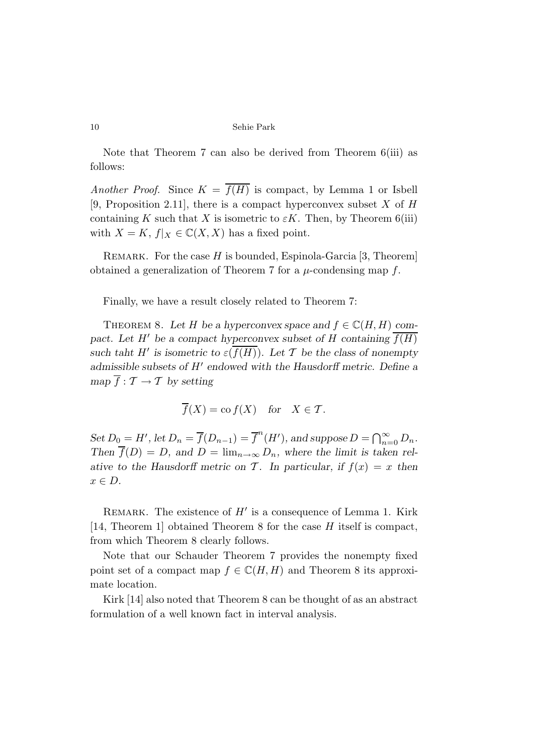Note that Theorem 7 can also be derived from Theorem 6(iii) as follows:

*Another Proof.* Since  $K = \overline{f(H)}$  is compact, by Lemma 1 or Isbell [9, Proposition 2.11], there is a compact hyperconvex subset *X* of *H* containing *K* such that *X* is isometric to  $\epsilon K$ . Then, by Theorem 6(iii) with  $X = K$ ,  $f|_X \in \mathbb{C}(X,X)$  has a fixed point.

Remark. For the case *H* is bounded, Espinola-Garcia [3, Theorem] obtained a generalization of Theorem 7 for a *µ*-condensing map *f*.

Finally, we have a result closely related to Theorem 7:

THEOREM 8. Let *H* be a hyperconvex space and  $f \in \mathbb{C}(H, H)$  compact. Let *H'* be a compact hyperconvex subset of *H* containing  $\overline{f(H)}$ such taht *H*<sup> $\prime$ </sup> is isometric to  $\varepsilon(f(H))$ . Let *T* be the class of nonempty admissible subsets of *H'* endowed with the Hausdorff metric. Define a  $\overline{f} : \mathcal{T} \to \mathcal{T}$  by setting

$$
\overline{f}(X) = \text{co } f(X)
$$
 for  $X \in \mathcal{T}$ .

Set  $D_0 = H'$ , let  $D_n = \overline{f}(D_{n-1}) = \overline{f}^n(H')$ , and suppose  $D = \bigcap_{n=0}^{\infty} D_n$ . Then  $\overline{f}(D) = D$ , and  $D = \lim_{n \to \infty} D_n$ , where the limit is taken relative to the Hausdorff metric on  $\mathcal{T}$ . In particular, if  $f(x) = x$  then *x ∈ D*.

REMARK. The existence of  $H'$  is a consequence of Lemma 1. Kirk [14, Theorem 1] obtained Theorem 8 for the case *H* itself is compact, from which Theorem 8 clearly follows.

Note that our Schauder Theorem 7 provides the nonempty fixed point set of a compact map  $f \in \mathbb{C}(H, H)$  and Theorem 8 its approximate location.

Kirk [14] also noted that Theorem 8 can be thought of as an abstract formulation of a well known fact in interval analysis.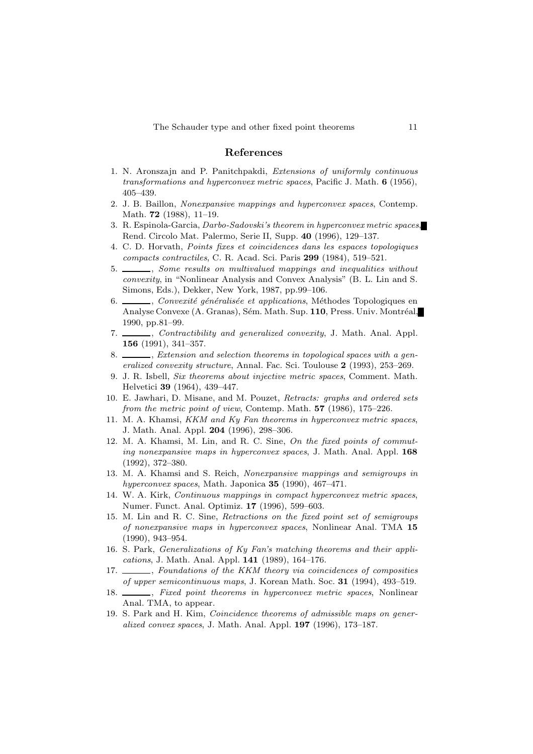#### **References**

- 1. N. Aronszajn and P. Panitchpakdi, Extensions of uniformly continuous transformations and hyperconvex metric spaces, Pacific J. Math. **6** (1956), 405–439.
- 2. J. B. Baillon, Nonexpansive mappings and hyperconvex spaces, Contemp. Math. **72** (1988), 11–19.
- 3. R. Espinola-Garcia, Darbo-Sadovski's theorem in hyperconvex metric spaces, Rend. Circolo Mat. Palermo, Serie II, Supp. **40** (1996), 129–137.
- 4. C. D. Horvath, Points fixes et coincidences dans les espaces topologiques compacts contractiles, C. R. Acad. Sci. Paris **299** (1984), 519–521.
- 5. Some results on multivalued mappings and inequalities without convexity, in "Nonlinear Analysis and Convex Analysis" (B. L. Lin and S. Simons, Eds.), Dekker, New York, 1987, pp.99–106.
- 6.  $\frac{1}{\sqrt{1-\frac{1}{\sqrt{1-\frac{1}{\sqrt{1-\frac{1}{\sqrt{1-\frac{1}{\sqrt{1-\frac{1}{\sqrt{1-\frac{1}{\sqrt{1-\frac{1}{\sqrt{1-\frac{1}{\sqrt{1-\frac{1}{\sqrt{1-\frac{1}{\sqrt{1-\frac{1}{\sqrt{1-\frac{1}{\sqrt{1-\frac{1}{\sqrt{1-\frac{1}{\sqrt{1-\frac{1}{\sqrt{1-\frac{1}{\sqrt{1-\frac{1}{\sqrt{1-\frac{1}{\sqrt{1-\frac{1}{\sqrt{1-\frac{1}{\sqrt{1-\frac{1}{\sqrt{1-\frac{1}{\sqrt{1-\frac{1}{\sqrt{1-\frac$ Analyse Convexe (A. Granas), Sém. Math. Sup. **110**, Press. Univ. Montréal, 1990, pp.81–99.
- 7. \_\_\_\_\_\_, *Contractibility* and generalized convexity, J. Math. Anal. Appl. **156** (1991), 341–357.
- 8. S. Extension and selection theorems in topological spaces with a generalized convexity structure, Annal. Fac. Sci. Toulouse **2** (1993), 253–269.
- 9. J. R. Isbell, Six theorems about injective metric spaces, Comment. Math. Helvetici **39** (1964), 439–447.
- 10. E. Jawhari, D. Misane, and M. Pouzet, Retracts: graphs and ordered sets from the metric point of view, Contemp. Math. **57** (1986), 175–226.
- 11. M. A. Khamsi, KKM and Ky Fan theorems in hyperconvex metric spaces, J. Math. Anal. Appl. **204** (1996), 298–306.
- 12. M. A. Khamsi, M. Lin, and R. C. Sine, On the fixed points of commuting nonexpansive maps in hyperconvex spaces, J. Math. Anal. Appl. **168** (1992), 372–380.
- 13. M. A. Khamsi and S. Reich, Nonexpansive mappings and semigroups in hyperconvex spaces, Math. Japonica **35** (1990), 467–471.
- 14. W. A. Kirk, Continuous mappings in compact hyperconvex metric spaces, Numer. Funct. Anal. Optimiz. **17** (1996), 599–603.
- 15. M. Lin and R. C. Sine, Retractions on the fixed point set of semigroups of nonexpansive maps in hyperconvex spaces, Nonlinear Anal. TMA **15** (1990), 943–954.
- 16. S. Park, Generalizations of Ky Fan's matching theorems and their applications, J. Math. Anal. Appl. **141** (1989), 164–176.
- 17. Soundations of the KKM theory via coincidences of composities of upper semicontinuous maps, J. Korean Math. Soc. **31** (1994), 493–519.
- 18. \_\_\_\_\_, Fixed point theorems in hyperconvex metric spaces, Nonlinear Anal. TMA, to appear.
- 19. S. Park and H. Kim, Coincidence theorems of admissible maps on generalized convex spaces, J. Math. Anal. Appl. **197** (1996), 173–187.